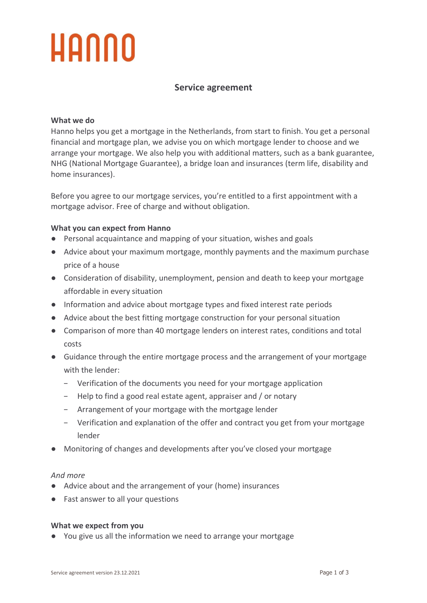## **Service agreement**

## **What we do**

Hanno helps you get a mortgage in the Netherlands, from start to finish. You get a personal financial and mortgage plan, we advise you on which mortgage lender to choose and we arrange your mortgage. We also help you with additional matters, such as a bank guarantee, NHG (National Mortgage Guarantee), a bridge loan and insurances (term life, disability and home insurances).

Before you agree to our mortgage services, you're entitled to a first appointment with a mortgage advisor. Free of charge and without obligation.

## **What you can expect from Hanno**

- Personal acquaintance and mapping of your situation, wishes and goals
- Advice about your maximum mortgage, monthly payments and the maximum purchase price of a house
- Consideration of disability, unemployment, pension and death to keep your mortgage affordable in every situation
- Information and advice about mortgage types and fixed interest rate periods
- Advice about the best fitting mortgage construction for your personal situation
- Comparison of more than 40 mortgage lenders on interest rates, conditions and total costs
- Guidance through the entire mortgage process and the arrangement of your mortgage with the lender:
	- − Verification of the documents you need for your mortgage application
	- − Help to find a good real estate agent, appraiser and / or notary
	- − Arrangement of your mortgage with the mortgage lender
	- − Verification and explanation of the offer and contract you get from your mortgage lender
- Monitoring of changes and developments after you've closed your mortgage

## *And more*

- Advice about and the arrangement of your (home) insurances
- Fast answer to all your questions

## **What we expect from you**

● You give us all the information we need to arrange your mortgage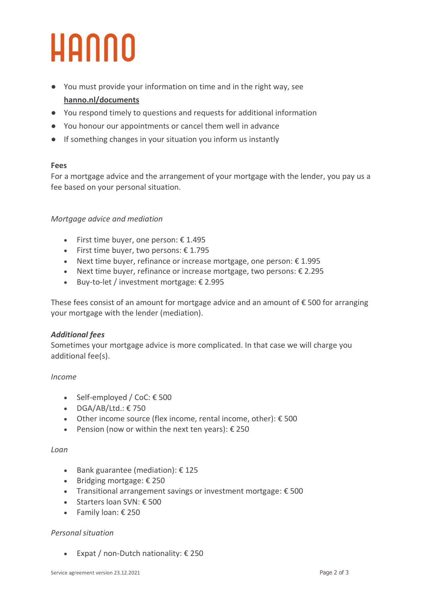- You must provide your information on time and in the right way, see **hanno.nl/documents**
- You respond timely to questions and requests for additional information
- You honour our appointments or cancel them well in advance
- If something changes in your situation you inform us instantly

## **Fees**

For a mortgage advice and the arrangement of your mortgage with the lender, you pay us a fee based on your personal situation.

## *Mortgage advice and mediation*

- First time buyer, one person: € 1.495
- First time buyer, two persons:  $£ 1.795$
- Next time buyer, refinance or increase mortgage, one person: € 1.995
- Next time buyer, refinance or increase mortgage, two persons: € 2.295
- Buy-to-let / investment mortgage: € 2.995

These fees consist of an amount for mortgage advice and an amount of  $\epsilon$  500 for arranging your mortgage with the lender (mediation).

## *Additional fees*

Sometimes your mortgage advice is more complicated. In that case we will charge you additional fee(s).

## *Income*

- Self-employed / CoC: € 500
- $\bullet$  DGA/AB/Ltd.:  $\epsilon$  750
- Other income source (flex income, rental income, other): € 500
- Pension (now or within the next ten years):  $\epsilon$  250

## *Loan*

- Bank guarantee (mediation): € 125
- Bridging mortgage: € 250
- Transitional arrangement savings or investment mortgage: € 500
- Starters loan SVN: € 500
- Family loan: € 250

## *Personal situation*

• Expat / non-Dutch nationality:  $\epsilon$  250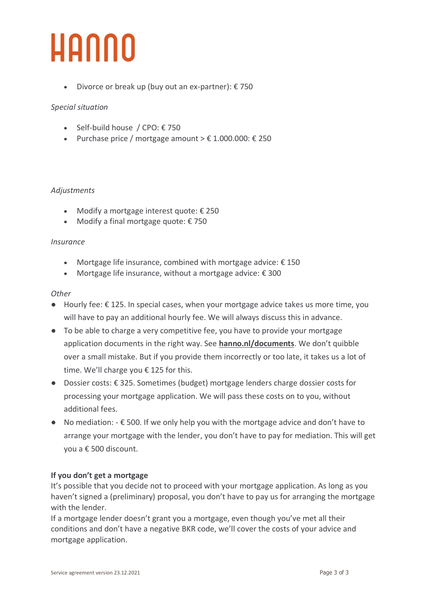• Divorce or break up (buy out an ex-partner):  $\epsilon$  750

## *Special situation*

- Self-build house / CPO: € 750
- Purchase price / mortgage amount  $> \epsilon$  1.000.000:  $\epsilon$  250

## *Adjustments*

- Modify a mortgage interest quote: € 250
- Modify a final mortgage quote: € 750

## *Insurance*

- Mortgage life insurance, combined with mortgage advice:  $\epsilon$  150
- Mortgage life insurance, without a mortgage advice: € 300

## *Other*

- $\bullet$  Hourly fee:  $\epsilon$  125. In special cases, when your mortgage advice takes us more time, you will have to pay an additional hourly fee. We will always discuss this in advance.
- To be able to charge a very competitive fee, you have to provide your mortgage application documents in the right way. See **hanno.nl/documents**. We don't quibble over a small mistake. But if you provide them incorrectly or too late, it takes us a lot of time. We'll charge you € 125 for this.
- Dossier costs: € 325. Sometimes (budget) mortgage lenders charge dossier costs for processing your mortgage application. We will pass these costs on to you, without additional fees.
- $\bullet$  No mediation:  $\text{-} \epsilon$  500. If we only help you with the mortgage advice and don't have to arrange your mortgage with the lender, you don't have to pay for mediation. This will get you a € 500 discount.

## **If you don't get a mortgage**

It's possible that you decide not to proceed with your mortgage application. As long as you haven't signed a (preliminary) proposal, you don't have to pay us for arranging the mortgage with the lender.

If a mortgage lender doesn't grant you a mortgage, even though you've met all their conditions and don't have a negative BKR code, we'll cover the costs of your advice and mortgage application.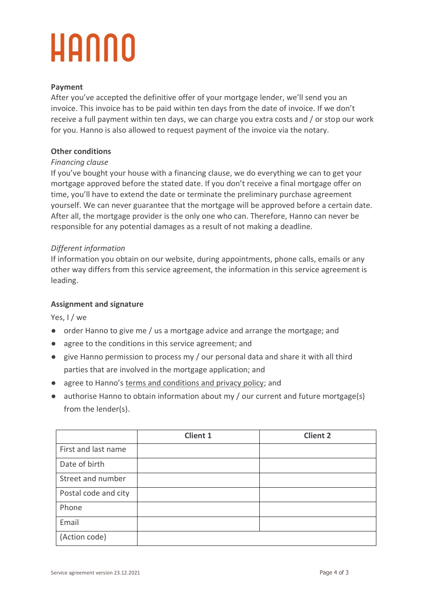## **Payment**

After you've accepted the definitive offer of your mortgage lender, we'll send you an invoice. This invoice has to be paid within ten days from the date of invoice. If we don't receive a full payment within ten days, we can charge you extra costs and / or stop our work for you. Hanno is also allowed to request payment of the invoice via the notary.

## **Other conditions**

## *Financing clause*

If you've bought your house with a financing clause, we do everything we can to get your mortgage approved before the stated date. If you don't receive a final mortgage offer on time, you'll have to extend the date or terminate the preliminary purchase agreement yourself. We can never guarantee that the mortgage will be approved before a certain date. After all, the mortgage provider is the only one who can. Therefore, Hanno can never be responsible for any potential damages as a result of not making a deadline.

## *Different information*

If information you obtain on our website, during appointments, phone calls, emails or any other way differs from this service agreement, the information in this service agreement is leading.

## **Assignment and signature**

Yes, I / we

- order Hanno to give me / us a mortgage advice and arrange the mortgage; and
- agree to the conditions in this service agreement; and
- give Hanno permission to process my / our personal data and share it with all third parties that are involved in the mortgage application; and
- agree to Hanno's [terms and conditions and privacy policy;](https://www.hanno.nl/service/voorwaarden/) and
- authorise Hanno to obtain information about my / our current and future mortgage(s) from the lender(s).

|                      | <b>Client 1</b> | <b>Client 2</b> |
|----------------------|-----------------|-----------------|
| First and last name  |                 |                 |
| Date of birth        |                 |                 |
| Street and number    |                 |                 |
| Postal code and city |                 |                 |
| Phone                |                 |                 |
| Email                |                 |                 |
| (Action code)        |                 |                 |